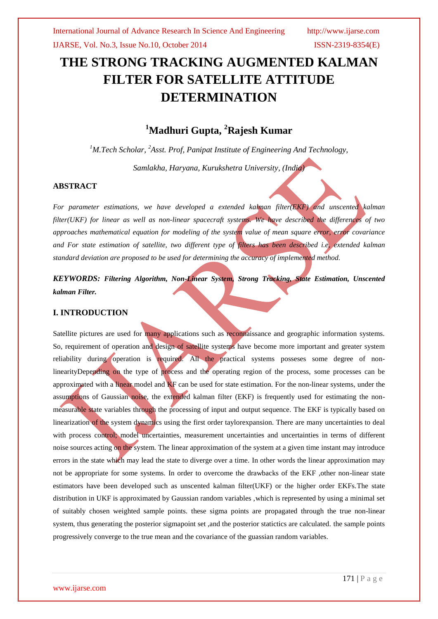# **THE STRONG TRACKING AUGMENTED KALMAN FILTER FOR SATELLITE ATTITUDE DETERMINATION**

# **<sup>1</sup>Madhuri Gupta, <sup>2</sup>Rajesh Kumar**

*<sup>1</sup>M.Tech Scholar, <sup>2</sup>Asst. Prof, Panipat Institute of Engineering And Technology,*

*Samlakha, Haryana, Kurukshetra University, (India)*

## **ABSTRACT**

*For parameter estimations, we have developed a extended kalman filter(EKF) and unscented kalman filter(UKF) for linear as well as non-linear spacecraft systems. We have described the differences of two approaches mathematical equation for modeling of the system value of mean square error, error covariance and For state estimation of satellite, two different type of filters has been described i.e, extended kalman standard deviation are proposed to be used for determining the accuracy of implemented method.*

*KEYWORDS: Filtering Algorithm, Non-Linear System, Strong Tracking, State Estimation, Unscented kalman Filter.*

## **I. INTRODUCTION**

Satellite pictures are used for many applications such as reconnaissance and geographic information systems. So, requirement of operation and design of satellite systems have become more important and greater system reliability during operation is required. All the practical systems posseses some degree of nonlinearityDepending on the type of process and the operating region of the process, some processes can be approximated with a linear model and KF can be used for state estimation. For the non-linear systems, under the assumptions of Gaussian noise, the extended kalman filter (EKF) is frequently used for estimating the nonmeasurable state variables through the processing of input and output sequence. The EKF is typically based on linearization of the system dynamics using the first order taylorexpansion. There are many uncertainties to deal with process control; model uncertainties, measurement uncertainties and uncertainties in terms of different noise sources acting on the system. The linear approximation of the system at a given time instant may introduce errors in the state which may lead the state to diverge over a time. In other words the linear approximation may not be appropriate for some systems. In order to overcome the drawbacks of the EKF ,other non-linear state estimators have been developed such as unscented kalman filter(UKF) or the higher order EKFs.The state distribution in UKF is approximated by Gaussian random variables ,which is represented by using a minimal set of suitably chosen weighted sample points. these sigma points are propagated through the true non-linear system, thus generating the posterior sigmapoint set ,and the posterior statictics are calculated. the sample points progressively converge to the true mean and the covariance of the guassian random variables.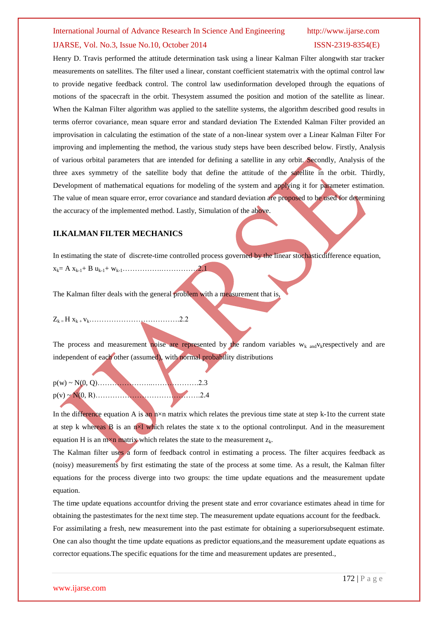# International Journal of Advance Research In Science And Engineering http://www.ijarse.com IJARSE, Vol. No.3, Issue No.10, October 2014 ISSN-2319-8354(E)

Henry D. Travis performed the attitude determination task using a linear Kalman Filter alongwith star tracker measurements on satellites. The filter used a linear, constant coefficient statematrix with the optimal control law to provide negative feedback control. The control law usedinformation developed through the equations of motions of the spacecraft in the orbit. Thesystem assumed the position and motion of the satellite as linear. When the Kalman Filter algorithm was applied to the satellite systems, the algorithm described good results in terms oferror covariance, mean square error and standard deviation The Extended Kalman Filter provided an improvisation in calculating the estimation of the state of a non-linear system over a Linear Kalman Filter For improving and implementing the method, the various study steps have been described below. Firstly, Analysis of various orbital parameters that are intended for defining a satellite in any orbit. Secondly, Analysis of the three axes symmetry of the satellite body that define the attitude of the satellite in the orbit. Thirdly, Development of mathematical equations for modeling of the system and applying it for parameter estimation. The value of mean square error, error covariance and standard deviation are proposed to be used for determining the accuracy of the implemented method. Lastly, Simulation of the above.

### **II.KALMAN FILTER MECHANICS**

In estimating the state of discrete-time controlled process governed by the linear stochasticdifference equation,

xk= A xk-1+ B uk-1+ wk-1…………….……………2.1

The Kalman filter deals with the general problem with a measurement that is,

Zk = H xk + vk……………………………….2.2

The process and measurement noise are represented by the random variables  $w_k$  and  $v_k$ respectively and are independent of each other (assumed), with normal probability distributions

p(w) ~ N(0, Q)…………………..……………….2.3 p(v) ~ N(0, R)…………………………………….2.4

In the difference equation A is an  $n \times n$  matrix which relates the previous time state at step k-1to the current state at step k whereas B is an n×l which relates the state x to the optional controlinput. And in the measurement equation H is an m $\times$ n matrix which relates the state to the measurement  $z_k$ .

The Kalman filter uses a form of feedback control in estimating a process. The filter acquires feedback as (noisy) measurements by first estimating the state of the process at some time. As a result, the Kalman filter equations for the process diverge into two groups: the time update equations and the measurement update equation.

The time update equations accountfor driving the present state and error covariance estimates ahead in time for obtaining the pastestimates for the next time step. The measurement update equations account for the feedback. For assimilating a fresh, new measurement into the past estimate for obtaining a superiorsubsequent estimate. One can also thought the time update equations as predictor equations,and the measurement update equations as

corrector equations.The specific equations for the time and measurement updates are presented.,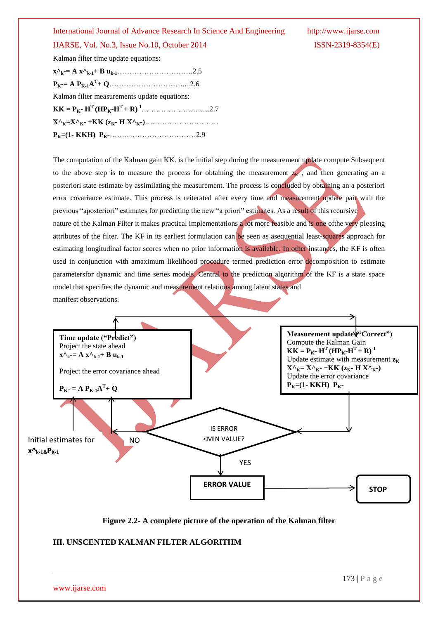## IJARSE, Vol. No.3, Issue No.10, October 2014 ISSN-2319-8354(E)

Kalman filter time update equations:

| Kalman filter measurements update equations: |  |
|----------------------------------------------|--|
|                                              |  |
|                                              |  |
|                                              |  |

The computation of the Kalman gain KK. is the initial step during the measurement update compute Subsequent to the above step is to measure the process for obtaining the measurement  $z_k$ , and then generating an a posteriori state estimate by assimilating the measurement. The process is concluded by obtaining an a posteriori error covariance estimate. This process is reiterated after every time and measurement update pair with the previous "aposteriori" estimates for predicting the new "a priori" estimates. As a result of this recursive nature of the Kalman Filter it makes practical implementations a lot more feasible and is one ofthe very pleasing attributes of the filter. The KF in its earliest formulation can be seen as asequential least-squares approach for estimating longitudinal factor scores when no prior information is available. In other instances, the KF is often used in conjunction with amaximum likelihood procedure termed prediction error decomposition to estimate parametersfor dynamic and time series models. Central to the prediction algorithm of the KF is a state space model that specifies the dynamic and measurement relations among latent states and manifest observations.



**Figure 2.2- A complete picture of the operation of the Kalman filter**

### **III. UNSCENTED KALMAN FILTER ALGORITHM**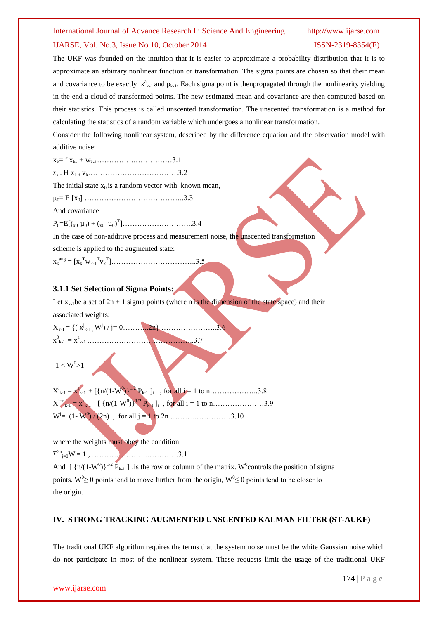#### IJARSE, Vol. No.3, Issue No.10, October 2014 ISSN-2319-8354(E)

The UKF was founded on the intuition that it is easier to approximate a probability distribution that it is to approximate an arbitrary nonlinear function or transformation. The sigma points are chosen so that their mean and covariance to be exactly  $x_{k-1}^a$  and  $p_{k-1}$ . Each sigma point is thenpropagated through the nonlinearity yielding in the end a cloud of transformed points. The new estimated mean and covariance are then computed based on their statistics. This process is called unscented transformation. The unscented transformation is a method for calculating the statistics of a random variable which undergoes a nonlinear transformation.

Consider the following nonlinear system, described by the difference equation and the observation model with additive noise:

xk= f xk-1+ wk-1…………….……………3.1

zk = H xk + vk……………………………….3.2

The initial state  $x_0$  is a random vector with known mean,

μ0= E [x0] …………………………………..3.3

And covariance

 $P_0=E[(x_0-\mu_0)+(x_0-\mu_0)^T]$ .............................3.4

In the case of non-additive process and measurement noise, the unscented transformation

scheme is applied to the augmented state:

xk aug = [x<sup>k</sup> <sup>T</sup>wk-1 T vk T ]……………………………..3.5

#### **3.1.1 Set Selection of Sigma Points:**

Let  $x_{k-1}$  be a set of  $2n + 1$  sigma points (where n is the dimension of the state space) and their

associated weights:

Xk-1 = {( x<sup>j</sup> k-1 , W<sup>j</sup> ) / j= 0………..2n} …………………..3.6 x 0 k-1 = x a k-1 ……………………………………..3.7

$$
\textnormal{-}1 < W^0\!\!>\!\!1
$$

where the weights must obey the condition: Σ 2n j=0W<sup>j</sup> = 1 , …………………..………….3.11

And  $\left[\right\{n/(1-W^0)\right\}^{1/2}$   $\dot{P}_{k-1}$  ]<sub>i</sub>, is the row or column of the matrix. W<sup>0</sup> controls the position of sigma points. W<sup>0</sup>  $\geq$  0 points tend to move further from the origin, W<sup>0</sup>  $\leq$  0 points tend to be closer to the origin.

### **IV. STRONG TRACKING AUGMENTED UNSCENTED KALMAN FILTER (ST-AUKF)**

The traditional UKF algorithm requires the terms that the system noise must be the white Gaussian noise which do not participate in most of the nonlinear system. These requests limit the usage of the traditional UKF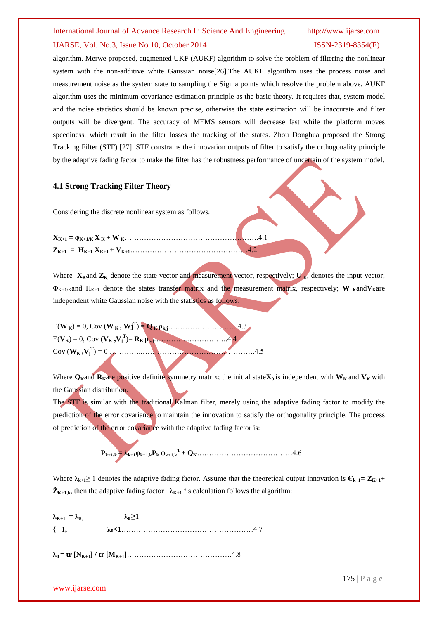# International Journal of Advance Research In Science And Engineering http://www.ijarse.com IJARSE, Vol. No.3, Issue No.10, October 2014 ISSN-2319-8354(E)

algorithm. Merwe proposed, augmented UKF (AUKF) algorithm to solve the problem of filtering the nonlinear system with the non-additive white Gaussian noise[26].The AUKF algorithm uses the process noise and measurement noise as the system state to sampling the Sigma points which resolve the problem above. AUKF algorithm uses the minimum covariance estimation principle as the basic theory. It requires that, system model and the noise statistics should be known precise, otherwise the state estimation will be inaccurate and filter outputs will be divergent. The accuracy of MEMS sensors will decrease fast while the platform moves speediness, which result in the filter losses the tracking of the states. Zhou Donghua proposed the Strong Tracking Filter (STF) [27]. STF constrains the innovation outputs of filter to satisfy the orthogonality principle by the adaptive fading factor to make the filter has the robustness performance of uncertain of the system model.

#### **4.1 Strong Tracking Filter Theory**

Considering the discrete nonlinear system as follows.

Where  $\mathbf{X}_{\mathbf{K}}$  and  $\mathbf{Z}_{\mathbf{K}}$ , denote the state vector and measurement vector, respectively;  $\mathbf{U}_{\mathbf{K}}$ , denotes the input vector;  $\Phi_{K+1/K}$ and  $H_{K+1}$  denote the states transfer matrix and the measurement matrix, respectively; **W K**and $V_{K}$ are independent white Gaussian noise with the statistics as follows:

E(**W <sup>K</sup>**) = 0, Cov (**W <sup>K</sup>, Wj<sup>T</sup>** ) = **Q <sup>K</sup>ρk,j**………………………..4.3 E(**VK**) = 0, Cov (**V<sup>K</sup> ,V<sup>j</sup> T** )= **RK ρk,j**…………..……………..4.4 Cov (**WK ,V<sup>j</sup> T** ) = 0 …………..……………………………………….4.5

Where  $Q_{\bf k}$  and  ${\bf R}_{\bf k}$  are positive definite symmetry matrix; the initial state  ${\bf X}_0$  is independent with  ${\bf W}_{\bf k}$  and  ${\bf V}_{\bf k}$  with the Gaussian distribution.

The STF is similar with the traditional Kalman filter, merely using the adaptive fading factor to modify the prediction of the error covariance to maintain the innovation to satisfy the orthogonality principle. The process of prediction of the error covariance with the adaptive fading factor is:

 **Pk+1/k = λk+1φk+1,kP<sup>k</sup> φk+1,k <sup>T</sup>+ QK**…………………………………4.6

Where  $\lambda_{k+1} \geq 1$  denotes the adaptive fading factor. Assume that the theoretical output innovation is  $\mathbf{C}_{k+1} = \mathbf{Z}_{K+1} + \mathbf{Z}_{K+1}$  $\check{\mathbf{Z}}_{\mathbf{K}+\mathbf{1},\mathbf{k}}$ , then the adaptive fading factor  $\lambda_{\mathbf{K}+\mathbf{1}}$  **'** s calculation follows the algorithm:

 $\lambda_{K+1} = \lambda_0$ ,  $\lambda_0 \geq 1$ **{ 1, λ0<1**………………………………………………4.7

 $\lambda_0 = \text{tr} [\mathbf{N}_{K+1}] / \text{tr} [\mathbf{M}_{K+1}] \dots$ 

www.ijarse.com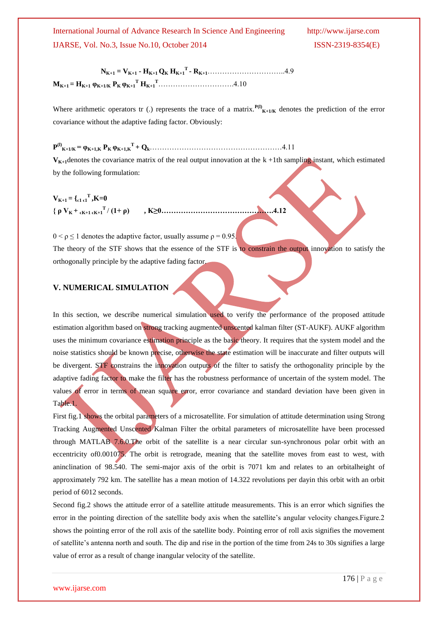International Journal of Advance Research In Science And Engineering http://www.ijarse.com IJARSE, Vol. No.3, Issue No.10, October 2014 ISSN-2319-8354(E)

 **NK+1 = VK+1 - HK+1 Q<sup>K</sup> HK+1 T - RK+1**…………………………..4.9 **MK+1 = HK+1 φK+1/K PK φK+1 <sup>T</sup> HK+1 <sup>T</sup>**………………………….4.10

Where arithmetic operators tr (.) represents the trace of a matrix. $P^{(1)}(K+1)/K$  denotes the prediction of the error covariance without the adaptive fading factor. Obviously:

 $\mathbf{P}^{(1)}$ <sub>K+1/K</sub> =  $\varphi_{\text{K+1,K}} \mathbf{P}_{\text{K}} \varphi_{\text{K+1,K}} \mathbf{F} + \mathbf{Q}_{\text{k}}$ ………………………………………………………4.11

 $V_{K+1}$ denotes the covariance matrix of the real output innovation at the  $k + 1$ th sampling instant, which estimated by the following formulation:

 $V_{K+1} = \begin{cases} 0 & \text{if } K = 0 \end{cases}$ **{**  $\rho$  V<sub>K</sub> +  $\epsilon$ <sub>K+1</sub>  $\epsilon$ K<sub>+1</sub><sup>T</sup> / (1+ ρ) **<sup>T</sup>**/ **(1+ ρ) , K≥0……………………………………….4.12**

 $0 < \rho \le 1$  denotes the adaptive factor, usually assume  $\rho = 0.95$ . The theory of the STF shows that the essence of the STF is to constrain the output innovation to satisfy the orthogonally principle by the adaptive fading factor.

## **V. NUMERICAL SIMULATION**

In this section, we describe numerical simulation used to verify the performance of the proposed attitude estimation algorithm based on strong tracking augmented unscented kalman filter (ST-AUKF). AUKF algorithm uses the minimum covariance estimation principle as the basic theory. It requires that the system model and the noise statistics should be known precise, otherwise the state estimation will be inaccurate and filter outputs will be divergent. STF constrains the innovation outputs of the filter to satisfy the orthogonality principle by the adaptive fading factor to make the filter has the robustness performance of uncertain of the system model. The values of error in terms of mean square error, error covariance and standard deviation have been given in Table.1.

First fig.1 shows the orbital parameters of a microsatellite. For simulation of attitude determination using Strong Tracking Augmented Unscented Kalman Filter the orbital parameters of microsatellite have been processed through MATLAB 7.6.0.The orbit of the satellite is a near circular sun-synchronous polar orbit with an eccentricity of 0.001075. The orbit is retrograde, meaning that the satellite moves from east to west, with aninclination of 98.540. The semi-major axis of the orbit is 7071 km and relates to an orbitalheight of approximately 792 km. The satellite has a mean motion of 14.322 revolutions per dayin this orbit with an orbit period of 6012 seconds.

Second fig.2 shows the attitude error of a satellite attitude measurements. This is an error which signifies the error in the pointing direction of the satellite body axis when the satellite's angular velocity changes.Figure.2 shows the pointing error of the roll axis of the satellite body. Pointing error of roll axis signifies the movement of satellite's antenna north and south. The dip and rise in the portion of the time from 24s to 30s signifies a large value of error as a result of change inangular velocity of the satellite.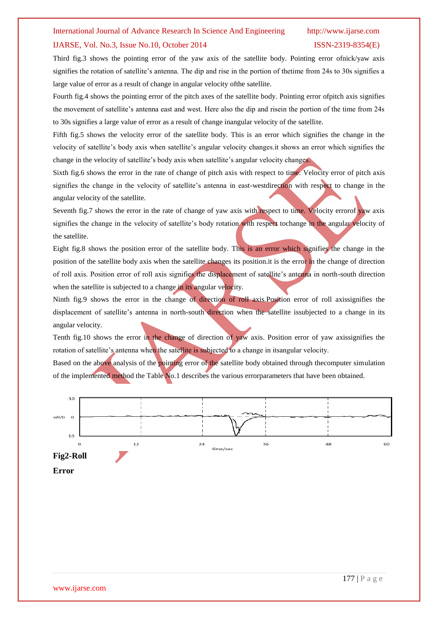#### IJARSE, Vol. No.3, Issue No.10, October 2014 ISSN-2319-8354(E)

Third fig.3 shows the pointing error of the yaw axis of the satellite body. Pointing error ofnick/yaw axis signifies the rotation of satellite's antenna. The dip and rise in the portion of thetime from 24s to 30s signifies a large value of error as a result of change in angular velocity ofthe satellite.

Fourth fig.4 shows the pointing error of the pitch axes of the satellite body. Pointing error ofpitch axis signifies the movement of satellite's antenna east and west. Here also the dip and risein the portion of the time from 24s to 30s signifies a large value of error as a result of change inangular velocity of the satellite.

Fifth fig.5 shows the velocity error of the satellite body. This is an error which signifies the change in the velocity of satellite's body axis when satellite's angular velocity changes.it shows an error which signifies the change in the velocity of satellite's body axis when satellite's angular velocity changes.

Sixth fig.6 shows the error in the rate of change of pitch axis with respect to time. Velocity error of pitch axis signifies the change in the velocity of satellite's antenna in east-westdirection with respect to change in the angular velocity of the satellite.

Seventh fig.7 shows the error in the rate of change of yaw axis with respect to time. Velocity errorof yaw axis signifies the change in the velocity of satellite's body rotation with respect tochange in the angular velocity of the satellite.

Eight fig.8 shows the position error of the satellite body. This is an error which signifies the change in the position of the satellite body axis when the satellite changes its position.it is the error in the change of direction of roll axis. Position error of roll axis signifies the displacement of satellite's antenna in north-south direction when the satellite is subjected to a change in its angular velocity.

Ninth fig.9 shows the error in the change of direction of roll axis.Position error of roll axissignifies the displacement of satellite's antenna in north-south direction when the satellite issubjected to a change in its angular velocity.

Tenth fig.10 shows the error in the change of direction of yaw axis. Position error of yaw axissignifies the rotation of satellite's antenna when the satellite is subjected to a change in itsangular velocity.

Based on the above analysis of the pointing error of the satellite body obtained through thecomputer simulation of the implemented method the Table No.1 describes the various errorparameters that have been obtained.

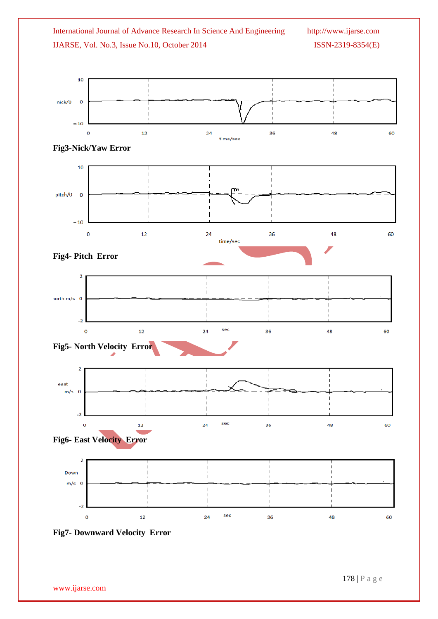



www.ijarse.com

178 | P a g e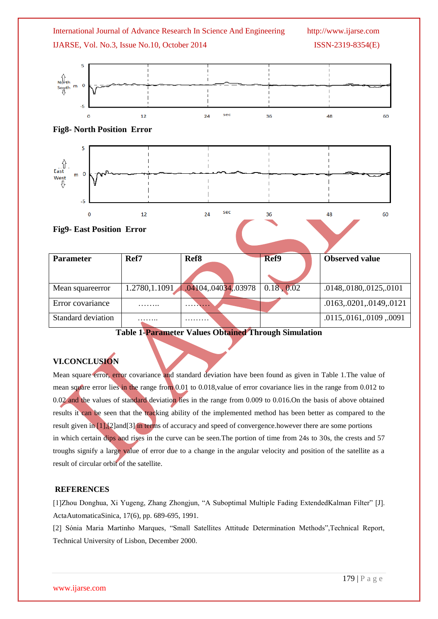

**Table 1-Parameter Values Obtained Through Simulation**

# **VI.CONCLUSION**

Mean square error, error covariance and standard deviation have been found as given in Table 1.The value of mean square error lies in the range from 0.01 to 0.018, value of error covariance lies in the range from 0.012 to 0.02 and the values of standard deviation lies in the range from 0.009 to 0.016.On the basis of above obtained results it can be seen that the tracking ability of the implemented method has been better as compared to the result given in [1],[2]and[3] in terms of accuracy and speed of convergence.however there are some portions in which certain dips and rises in the curve can be seen.The portion of time from 24s to 30s, the crests and 57 troughs signify a large value of error due to a change in the angular velocity and position of the satellite as a result of circular orbit of the satellite.

### **REFERENCES**

[1]Zhou Donghua, Xi Yugeng, Zhang Zhongjun, "A Suboptimal Multiple Fading ExtendedKalman Filter" [J]. ActaAutomaticaSinica, 17(6), pp. 689-695, 1991.

[2] Sόnia Maria Martinho Marques, "Small Satellites Attitude Determination Methods",Technical Report, Technical University of Lisbon, December 2000.